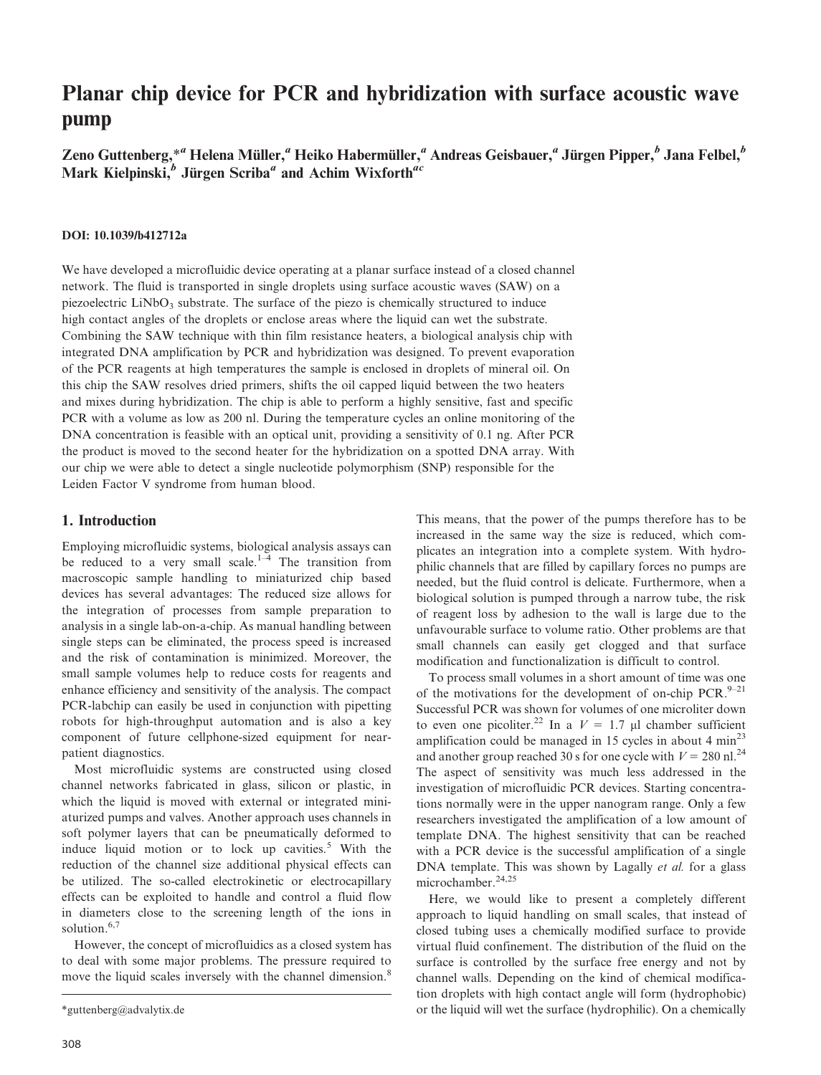# Planar chip device for PCR and hybridization with surface acoustic wave pump

Zeno Guttenberg,\*" Helena Müller," Heiko Habermüller," Andreas Geisbauer," Jürgen Pipper," Jana Felbel," Mark Kielpinski, <sup>b</sup> Jürgen Scriba<sup>a</sup> and Achim Wixforth<sup>ac</sup>

## DOI: 10.1039/b412712a

We have developed a microfluidic device operating at a planar surface instead of a closed channel network. The fluid is transported in single droplets using surface acoustic waves (SAW) on a piezoelectric  $LiNbO<sub>3</sub>$  substrate. The surface of the piezo is chemically structured to induce high contact angles of the droplets or enclose areas where the liquid can wet the substrate. Combining the SAW technique with thin film resistance heaters, a biological analysis chip with integrated DNA amplification by PCR and hybridization was designed. To prevent evaporation of the PCR reagents at high temperatures the sample is enclosed in droplets of mineral oil. On this chip the SAW resolves dried primers, shifts the oil capped liquid between the two heaters and mixes during hybridization. The chip is able to perform a highly sensitive, fast and specific PCR with a volume as low as 200 nl. During the temperature cycles an online monitoring of the DNA concentration is feasible with an optical unit, providing a sensitivity of 0.1 ng. After PCR the product is moved to the second heater for the hybridization on a spotted DNA array. With our chip we were able to detect a single nucleotide polymorphism (SNP) responsible for the Leiden Factor V syndrome from human blood.

# 1. Introduction

Employing microfluidic systems, biological analysis assays can be reduced to a very small scale.<sup>1-4</sup> The transition from macroscopic sample handling to miniaturized chip based devices has several advantages: The reduced size allows for the integration of processes from sample preparation to analysis in a single lab-on-a-chip. As manual handling between single steps can be eliminated, the process speed is increased and the risk of contamination is minimized. Moreover, the small sample volumes help to reduce costs for reagents and enhance efficiency and sensitivity of the analysis. The compact PCR-labchip can easily be used in conjunction with pipetting robots for high-throughput automation and is also a key component of future cellphone-sized equipment for nearpatient diagnostics.

Most microfluidic systems are constructed using closed channel networks fabricated in glass, silicon or plastic, in which the liquid is moved with external or integrated miniaturized pumps and valves. Another approach uses channels in soft polymer layers that can be pneumatically deformed to induce liquid motion or to lock up cavities. <sup>5</sup> With the reduction of the channel size additional physical effects can be utilized. The so-called electrokinetic or electrocapillary effects can be exploited to handle and control a fluid flow in diameters close to the screening length of the ions in solution. 6,7

However, the concept of microfluidics as a closed system has to deal with some major problems. The pressure required to move the liquid scales inversely with the channel dimension.<sup>8</sup>

This means, that the power of the pumps therefore has to be increased in the same way the size is reduced, which complicates an integration into a complete system. With hydrophilic channels that are filled by capillary forces no pumps are needed, but the fluid control is delicate. Furthermore, when a biological solution is pumped through a narrow tube, the risk of reagent loss by adhesion to the wall is large due to the unfavourable surface to volume ratio. Other problems are that small channels can easily get clogged and that surface modification and functionalization is difficult to control.

To process small volumes in a short amount of time was one of the motivations for the development of on-chip  $PCR$ .<sup>9-21</sup> Successful PCR was shown for volumes of one microliter down to even one picoliter.<sup>22</sup> In a  $V = 1.7$  µl chamber sufficient amplification could be managed in 15 cycles in about 4  $min<sup>23</sup>$ and another group reached 30 s for one cycle with  $V = 280$  nl.<sup>24</sup> The aspect of sensitivity was much less addressed in the investigation of microfluidic PCR devices. Starting concentrations normally were in the upper nanogram range. Only a few researchers investigated the amplification of a low amount of template DNA. The highest sensitivity that can be reached with a PCR device is the successful amplification of a single DNA template. This was shown by Lagally et al. for a glass microchamber. 24,25

Here, we would like to present a completely different approach to liquid handling on small scales, that instead of closed tubing uses a chemically modified surface to provide virtual fluid confinement. The distribution of the fluid on the surface is controlled by the surface free energy and not by channel walls. Depending on the kind of chemical modification droplets with high contact angle will form (hydrophobic) \*guttenberg@advalytix.de or the liquid will wet the surface (hydrophilic). On a chemically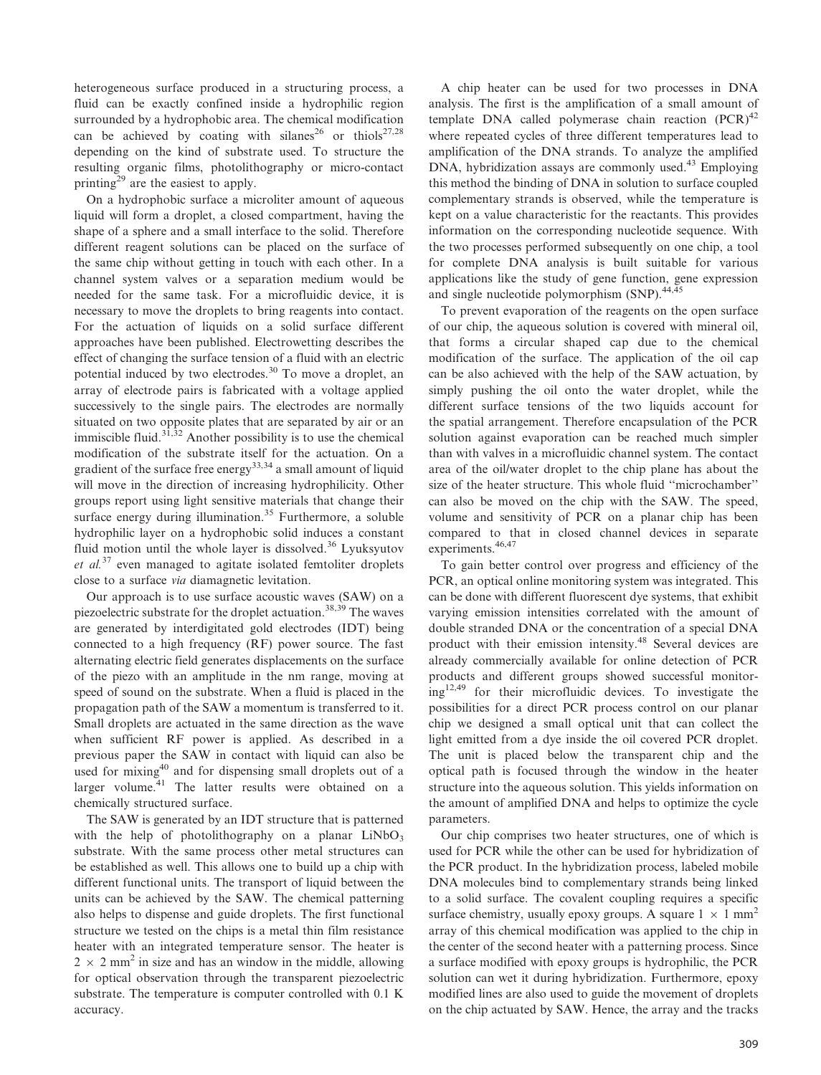heterogeneous surface produced in a structuring process, a fluid can be exactly confined inside a hydrophilic region surrounded by a hydrophobic area. The chemical modification can be achieved by coating with silanes<sup>26</sup> or thiols<sup>27,28</sup> depending on the kind of substrate used. To structure the resulting organic films, photolithography or micro-contact printing<sup>29</sup> are the easiest to apply.

On a hydrophobic surface a microliter amount of aqueous liquid will form a droplet, a closed compartment, having the shape of a sphere and a small interface to the solid. Therefore different reagent solutions can be placed on the surface of the same chip without getting in touch with each other. In a channel system valves or a separation medium would be needed for the same task. For a microfluidic device, it is necessary to move the droplets to bring reagents into contact. For the actuation of liquids on a solid surface different approaches have been published. Electrowetting describes the effect of changing the surface tension of a fluid with an electric potential induced by two electrodes.<sup>30</sup> To move a droplet, an array of electrode pairs is fabricated with a voltage applied successively to the single pairs. The electrodes are normally situated on two opposite plates that are separated by air or an immiscible fluid.<sup>31,32</sup> Another possibility is to use the chemical modification of the substrate itself for the actuation. On a gradient of the surface free energy<sup>33,34</sup> a small amount of liquid will move in the direction of increasing hydrophilicity. Other groups report using light sensitive materials that change their surface energy during illumination.<sup>35</sup> Furthermore, a soluble hydrophilic layer on a hydrophobic solid induces a constant fluid motion until the whole layer is dissolved.<sup>36</sup> Lyuksyutov et al.<sup>37</sup> even managed to agitate isolated femtoliter droplets close to a surface via diamagnetic levitation.

Our approach is to use surface acoustic waves (SAW) on a piezoelectric substrate for the droplet actuation. 38,39 The waves are generated by interdigitated gold electrodes (IDT) being connected to a high frequency (RF) power source. The fast alternating electric field generates displacements on the surface of the piezo with an amplitude in the nm range, moving at speed of sound on the substrate. When a fluid is placed in the propagation path of the SAW a momentum is transferred to it. Small droplets are actuated in the same direction as the wave when sufficient RF power is applied. As described in a previous paper the SAW in contact with liquid can also be used for mixing<sup>40</sup> and for dispensing small droplets out of a larger volume.<sup>41</sup> The latter results were obtained on a chemically structured surface.

The SAW is generated by an IDT structure that is patterned with the help of photolithography on a planar  $LiNbO<sub>3</sub>$ substrate. With the same process other metal structures can be established as well. This allows one to build up a chip with different functional units. The transport of liquid between the units can be achieved by the SAW. The chemical patterning also helps to dispense and guide droplets. The first functional structure we tested on the chips is a metal thin film resistance heater with an integrated temperature sensor. The heater is  $2 \times 2$  mm<sup>2</sup> in size and has an window in the middle, allowing for optical observation through the transparent piezoelectric substrate. The temperature is computer controlled with 0.1 K accuracy.

A chip heater can be used for two processes in DNA analysis. The first is the amplification of a small amount of template DNA called polymerase chain reaction  $(PCR)^{42}$ where repeated cycles of three different temperatures lead to amplification of the DNA strands. To analyze the amplified DNA, hybridization assays are commonly used.<sup>43</sup> Employing this method the binding of DNA in solution to surface coupled complementary strands is observed, while the temperature is kept on a value characteristic for the reactants. This provides information on the corresponding nucleotide sequence. With the two processes performed subsequently on one chip, a tool for complete DNA analysis is built suitable for various applications like the study of gene function, gene expression and single nucleotide polymorphism (SNP).<sup>44,45</sup>

To prevent evaporation of the reagents on the open surface of our chip, the aqueous solution is covered with mineral oil, that forms a circular shaped cap due to the chemical modification of the surface. The application of the oil cap can be also achieved with the help of the SAW actuation, by simply pushing the oil onto the water droplet, while the different surface tensions of the two liquids account for the spatial arrangement. Therefore encapsulation of the PCR solution against evaporation can be reached much simpler than with valves in a microfluidic channel system. The contact area of the oil/water droplet to the chip plane has about the size of the heater structure. This whole fluid ''microchamber'' can also be moved on the chip with the SAW. The speed, volume and sensitivity of PCR on a planar chip has been compared to that in closed channel devices in separate experiments. 46,47

To gain better control over progress and efficiency of the PCR, an optical online monitoring system was integrated. This can be done with different fluorescent dye systems, that exhibit varying emission intensities correlated with the amount of double stranded DNA or the concentration of a special DNA product with their emission intensity. 48 Several devices are already commercially available for online detection of PCR products and different groups showed successful monitoring<sup>12,49</sup> for their microfluidic devices. To investigate the possibilities for a direct PCR process control on our planar chip we designed a small optical unit that can collect the light emitted from a dye inside the oil covered PCR droplet. The unit is placed below the transparent chip and the optical path is focused through the window in the heater structure into the aqueous solution. This yields information on the amount of amplified DNA and helps to optimize the cycle parameters.

Our chip comprises two heater structures, one of which is used for PCR while the other can be used for hybridization of the PCR product. In the hybridization process, labeled mobile DNA molecules bind to complementary strands being linked to a solid surface. The covalent coupling requires a specific surface chemistry, usually epoxy groups. A square  $1 \times 1$  mm<sup>2</sup> array of this chemical modification was applied to the chip in the center of the second heater with a patterning process. Since a surface modified with epoxy groups is hydrophilic, the PCR solution can wet it during hybridization. Furthermore, epoxy modified lines are also used to guide the movement of droplets on the chip actuated by SAW. Hence, the array and the tracks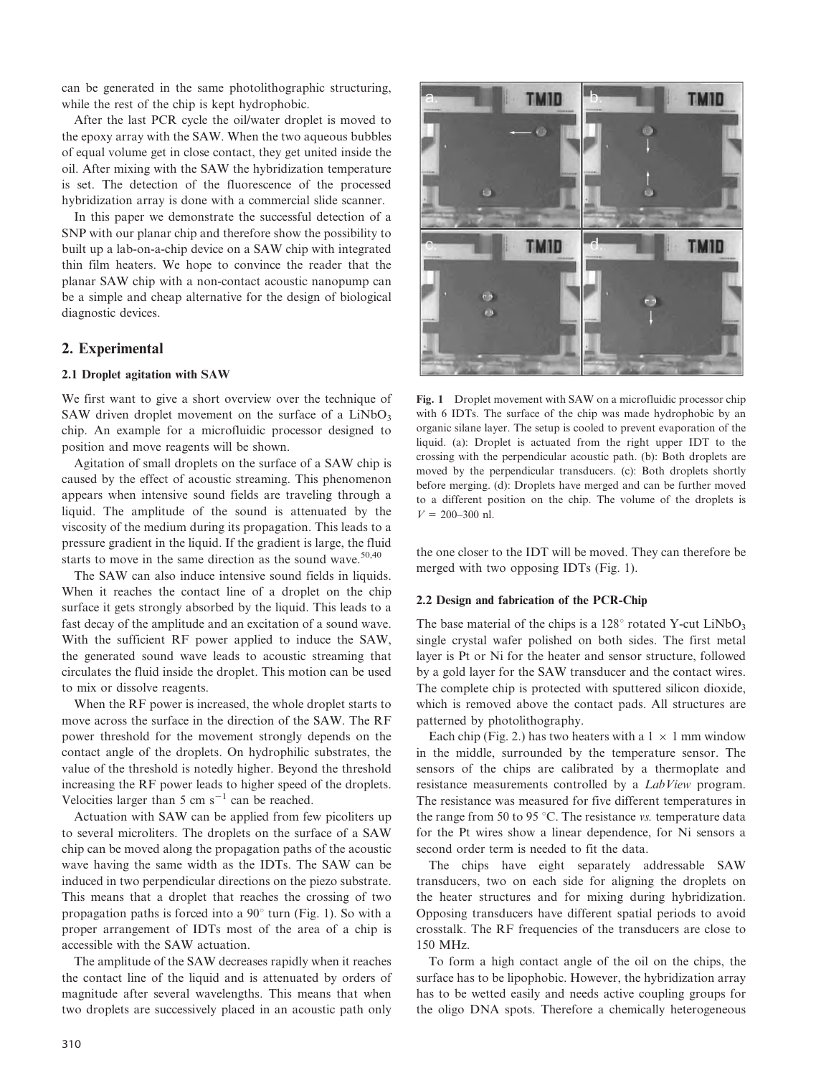can be generated in the same photolithographic structuring, while the rest of the chip is kept hydrophobic.

After the last PCR cycle the oil/water droplet is moved to the epoxy array with the SAW. When the two aqueous bubbles of equal volume get in close contact, they get united inside the oil. After mixing with the SAW the hybridization temperature is set. The detection of the fluorescence of the processed hybridization array is done with a commercial slide scanner.

In this paper we demonstrate the successful detection of a SNP with our planar chip and therefore show the possibility to built up a lab-on-a-chip device on a SAW chip with integrated thin film heaters. We hope to convince the reader that the planar SAW chip with a non-contact acoustic nanopump can be a simple and cheap alternative for the design of biological diagnostic devices.

# 2. Experimental

## 2.1 Droplet agitation with SAW

We first want to give a short overview over the technique of SAW driven droplet movement on the surface of a  $LiNbO<sub>3</sub>$ chip. An example for a microfluidic processor designed to position and move reagents will be shown.

Agitation of small droplets on the surface of a SAW chip is caused by the effect of acoustic streaming. This phenomenon appears when intensive sound fields are traveling through a liquid. The amplitude of the sound is attenuated by the viscosity of the medium during its propagation. This leads to a pressure gradient in the liquid. If the gradient is large, the fluid starts to move in the same direction as the sound wave.<sup>50,40</sup>

The SAW can also induce intensive sound fields in liquids. When it reaches the contact line of a droplet on the chip surface it gets strongly absorbed by the liquid. This leads to a fast decay of the amplitude and an excitation of a sound wave. With the sufficient RF power applied to induce the SAW, the generated sound wave leads to acoustic streaming that circulates the fluid inside the droplet. This motion can be used to mix or dissolve reagents.

When the RF power is increased, the whole droplet starts to move across the surface in the direction of the SAW. The RF power threshold for the movement strongly depends on the contact angle of the droplets. On hydrophilic substrates, the value of the threshold is notedly higher. Beyond the threshold increasing the RF power leads to higher speed of the droplets. Velocities larger than  $5 \text{ cm s}^{-1}$  can be reached.

Actuation with SAW can be applied from few picoliters up to several microliters. The droplets on the surface of a SAW chip can be moved along the propagation paths of the acoustic wave having the same width as the IDTs. The SAW can be induced in two perpendicular directions on the piezo substrate. This means that a droplet that reaches the crossing of two propagation paths is forced into a  $90^\circ$  turn (Fig. 1). So with a proper arrangement of IDTs most of the area of a chip is accessible with the SAW actuation.

The amplitude of the SAW decreases rapidly when it reaches the contact line of the liquid and is attenuated by orders of magnitude after several wavelengths. This means that when two droplets are successively placed in an acoustic path only



Fig. 1 Droplet movement with SAW on a microfluidic processor chip with 6 IDTs. The surface of the chip was made hydrophobic by an organic silane layer. The setup is cooled to prevent evaporation of the liquid. (a): Droplet is actuated from the right upper IDT to the crossing with the perpendicular acoustic path. (b): Both droplets are moved by the perpendicular transducers. (c): Both droplets shortly before merging. (d): Droplets have merged and can be further moved to a different position on the chip. The volume of the droplets is  $V = 200 - 300$  nl.

the one closer to the IDT will be moved. They can therefore be merged with two opposing IDTs (Fig. 1).

#### 2.2 Design and fabrication of the PCR-Chip

The base material of the chips is a  $128^\circ$  rotated Y-cut LiNbO<sub>3</sub> single crystal wafer polished on both sides. The first metal layer is Pt or Ni for the heater and sensor structure, followed by a gold layer for the SAW transducer and the contact wires. The complete chip is protected with sputtered silicon dioxide, which is removed above the contact pads. All structures are patterned by photolithography.

Each chip (Fig. 2.) has two heaters with a  $1 \times 1$  mm window in the middle, surrounded by the temperature sensor. The sensors of the chips are calibrated by a thermoplate and resistance measurements controlled by a LabView program. The resistance was measured for five different temperatures in the range from 50 to 95  $\degree$ C. The resistance vs. temperature data for the Pt wires show a linear dependence, for Ni sensors a second order term is needed to fit the data.

The chips have eight separately addressable SAW transducers, two on each side for aligning the droplets on the heater structures and for mixing during hybridization. Opposing transducers have different spatial periods to avoid crosstalk. The RF frequencies of the transducers are close to 150 MHz.

To form a high contact angle of the oil on the chips, the surface has to be lipophobic. However, the hybridization array has to be wetted easily and needs active coupling groups for the oligo DNA spots. Therefore a chemically heterogeneous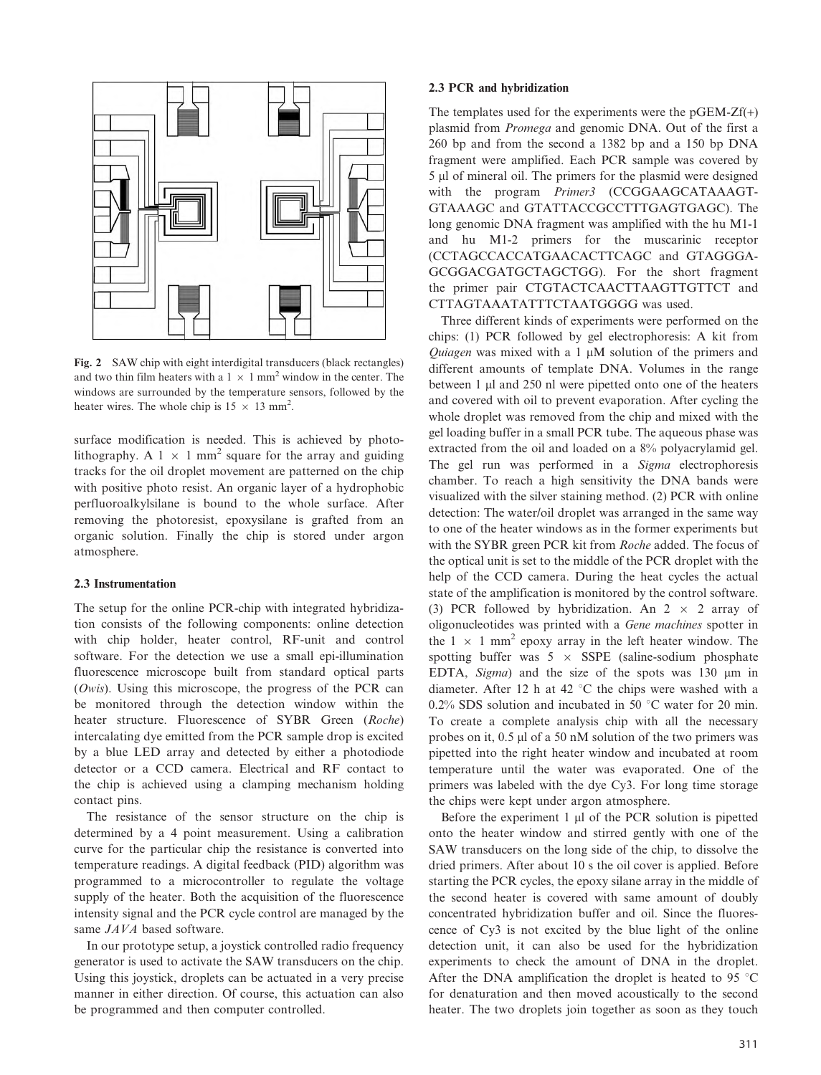

Fig. 2 SAW chip with eight interdigital transducers (black rectangles) and two thin film heaters with a  $1 \times 1$  mm<sup>2</sup> window in the center. The windows are surrounded by the temperature sensors, followed by the heater wires. The whole chip is  $15 \times 13$  mm<sup>2</sup>.

surface modification is needed. This is achieved by photolithography. A  $1 \times 1$  mm<sup>2</sup> square for the array and guiding tracks for the oil droplet movement are patterned on the chip with positive photo resist. An organic layer of a hydrophobic perfluoroalkylsilane is bound to the whole surface. After removing the photoresist, epoxysilane is grafted from an organic solution. Finally the chip is stored under argon atmosphere.

## 2.3 Instrumentation

The setup for the online PCR-chip with integrated hybridization consists of the following components: online detection with chip holder, heater control, RF-unit and control software. For the detection we use a small epi-illumination fluorescence microscope built from standard optical parts (Owis). Using this microscope, the progress of the PCR can be monitored through the detection window within the heater structure. Fluorescence of SYBR Green (Roche) intercalating dye emitted from the PCR sample drop is excited by a blue LED array and detected by either a photodiode detector or a CCD camera. Electrical and RF contact to the chip is achieved using a clamping mechanism holding contact pins.

The resistance of the sensor structure on the chip is determined by a 4 point measurement. Using a calibration curve for the particular chip the resistance is converted into temperature readings. A digital feedback (PID) algorithm was programmed to a microcontroller to regulate the voltage supply of the heater. Both the acquisition of the fluorescence intensity signal and the PCR cycle control are managed by the same JAVA based software.

In our prototype setup, a joystick controlled radio frequency generator is used to activate the SAW transducers on the chip. Using this joystick, droplets can be actuated in a very precise manner in either direction. Of course, this actuation can also be programmed and then computer controlled.

## 2.3 PCR and hybridization

The templates used for the experiments were the  $pGEM-Zf(+)$ plasmid from Promega and genomic DNA. Out of the first a 260 bp and from the second a 1382 bp and a 150 bp DNA fragment were amplified. Each PCR sample was covered by 5 ml of mineral oil. The primers for the plasmid were designed with the program Primer3 (CCGGAAGCATAAAGT-GTAAAGC and GTATTACCGCCTTTGAGTGAGC). The long genomic DNA fragment was amplified with the hu M1-1 and hu M1-2 primers for the muscarinic receptor (CCTAGCCACCATGAACACTTCAGC and GTAGGGA-GCGGACGATGCTAGCTGG). For the short fragment the primer pair CTGTACTCAACTTAAGTTGTTCT and CTTAGTAAATATTTCTAATGGGG was used.

Three different kinds of experiments were performed on the chips: (1) PCR followed by gel electrophoresis: A kit from Quiagen was mixed with a  $1 \mu M$  solution of the primers and different amounts of template DNA. Volumes in the range between  $1 \mu$ l and  $250 \text{ nl}$  were pipetted onto one of the heaters and covered with oil to prevent evaporation. After cycling the whole droplet was removed from the chip and mixed with the gel loading buffer in a small PCR tube. The aqueous phase was extracted from the oil and loaded on a 8% polyacrylamid gel. The gel run was performed in a Sigma electrophoresis chamber. To reach a high sensitivity the DNA bands were visualized with the silver staining method. (2) PCR with online detection: The water/oil droplet was arranged in the same way to one of the heater windows as in the former experiments but with the SYBR green PCR kit from Roche added. The focus of the optical unit is set to the middle of the PCR droplet with the help of the CCD camera. During the heat cycles the actual state of the amplification is monitored by the control software. (3) PCR followed by hybridization. An  $2 \times 2$  array of oligonucleotides was printed with a Gene machines spotter in the  $1 \times 1$  mm<sup>2</sup> epoxy array in the left heater window. The spotting buffer was  $5 \times$  SSPE (saline-sodium phosphate EDTA,  $Sigma$  and the size of the spots was 130  $\mu$ m in diameter. After 12 h at 42  $\degree$ C the chips were washed with a 0.2% SDS solution and incubated in 50  $^{\circ}$ C water for 20 min. To create a complete analysis chip with all the necessary probes on it,  $0.5 \mu$ l of a 50 nM solution of the two primers was pipetted into the right heater window and incubated at room temperature until the water was evaporated. One of the primers was labeled with the dye Cy3. For long time storage the chips were kept under argon atmosphere.

Before the experiment  $1 \mu l$  of the PCR solution is pipetted onto the heater window and stirred gently with one of the SAW transducers on the long side of the chip, to dissolve the dried primers. After about 10 s the oil cover is applied. Before starting the PCR cycles, the epoxy silane array in the middle of the second heater is covered with same amount of doubly concentrated hybridization buffer and oil. Since the fluorescence of Cy3 is not excited by the blue light of the online detection unit, it can also be used for the hybridization experiments to check the amount of DNA in the droplet. After the DNA amplification the droplet is heated to 95  $\degree$ C for denaturation and then moved acoustically to the second heater. The two droplets join together as soon as they touch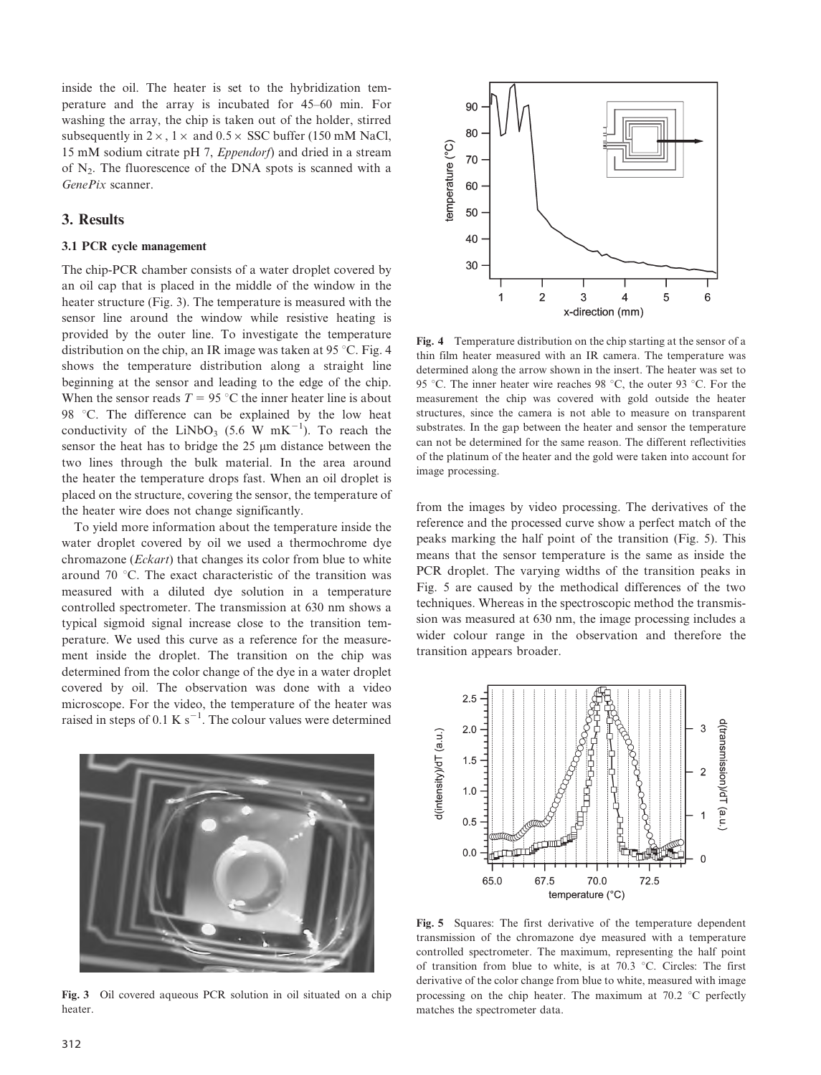inside the oil. The heater is set to the hybridization temperature and the array is incubated for 45–60 min. For washing the array, the chip is taken out of the holder, stirred subsequently in  $2 \times$ ,  $1 \times$  and  $0.5 \times$  SSC buffer (150 mM NaCl, 15 mM sodium citrate pH 7, Eppendorf) and dried in a stream of  $N_2$ . The fluorescence of the DNA spots is scanned with a GenePix scanner.

# 3. Results

#### 3.1 PCR cycle management

The chip-PCR chamber consists of a water droplet covered by an oil cap that is placed in the middle of the window in the heater structure (Fig. 3). The temperature is measured with the sensor line around the window while resistive heating is provided by the outer line. To investigate the temperature distribution on the chip, an IR image was taken at 95 °C. Fig. 4 shows the temperature distribution along a straight line beginning at the sensor and leading to the edge of the chip. When the sensor reads  $T = 95$  °C the inner heater line is about 98  $\degree$ C. The difference can be explained by the low heat conductivity of the  $LiNbO<sub>3</sub>$  (5.6 W mK<sup>-1</sup>). To reach the sensor the heat has to bridge the  $25 \mu m$  distance between the two lines through the bulk material. In the area around the heater the temperature drops fast. When an oil droplet is placed on the structure, covering the sensor, the temperature of the heater wire does not change significantly.

To yield more information about the temperature inside the water droplet covered by oil we used a thermochrome dye chromazone (Eckart) that changes its color from blue to white around 70  $\degree$ C. The exact characteristic of the transition was measured with a diluted dye solution in a temperature controlled spectrometer. The transmission at 630 nm shows a typical sigmoid signal increase close to the transition temperature. We used this curve as a reference for the measurement inside the droplet. The transition on the chip was determined from the color change of the dye in a water droplet covered by oil. The observation was done with a video microscope. For the video, the temperature of the heater was raised in steps of 0.1 K  $s^{-1}$ . The colour values were determined



Fig. 3 Oil covered aqueous PCR solution in oil situated on a chip heater.



Fig. 4 Temperature distribution on the chip starting at the sensor of a thin film heater measured with an IR camera. The temperature was determined along the arrow shown in the insert. The heater was set to 95 °C. The inner heater wire reaches 98 °C, the outer 93 °C. For the measurement the chip was covered with gold outside the heater structures, since the camera is not able to measure on transparent substrates. In the gap between the heater and sensor the temperature can not be determined for the same reason. The different reflectivities of the platinum of the heater and the gold were taken into account for image processing.

from the images by video processing. The derivatives of the reference and the processed curve show a perfect match of the peaks marking the half point of the transition (Fig. 5). This means that the sensor temperature is the same as inside the PCR droplet. The varying widths of the transition peaks in Fig. 5 are caused by the methodical differences of the two techniques. Whereas in the spectroscopic method the transmission was measured at 630 nm, the image processing includes a wider colour range in the observation and therefore the transition appears broader.



Fig. 5 Squares: The first derivative of the temperature dependent transmission of the chromazone dye measured with a temperature controlled spectrometer. The maximum, representing the half point of transition from blue to white, is at  $70.3$  °C. Circles: The first derivative of the color change from blue to white, measured with image processing on the chip heater. The maximum at  $70.2 \degree$ C perfectly matches the spectrometer data.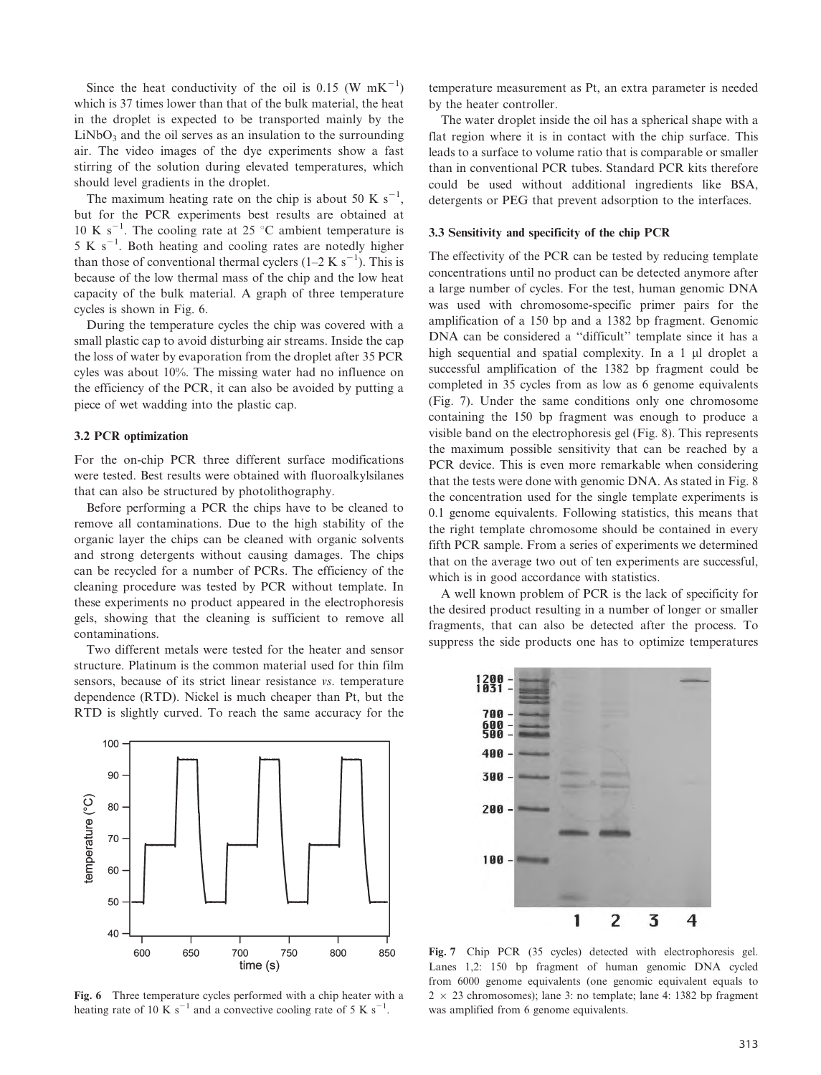Since the heat conductivity of the oil is 0.15 (W  $mK^{-1}$ ) which is 37 times lower than that of the bulk material, the heat in the droplet is expected to be transported mainly by the  $LiNbO<sub>3</sub>$  and the oil serves as an insulation to the surrounding air. The video images of the dye experiments show a fast stirring of the solution during elevated temperatures, which should level gradients in the droplet.

The maximum heating rate on the chip is about 50 K  $s^{-1}$ , but for the PCR experiments best results are obtained at 10 K  $s^{-1}$ . The cooling rate at 25 °C ambient temperature is  $5 K s^{-1}$ . Both heating and cooling rates are notedly higher than those of conventional thermal cyclers  $(1-2 K s^{-1})$ . This is because of the low thermal mass of the chip and the low heat capacity of the bulk material. A graph of three temperature cycles is shown in Fig. 6.

During the temperature cycles the chip was covered with a small plastic cap to avoid disturbing air streams. Inside the cap the loss of water by evaporation from the droplet after 35 PCR cyles was about 10%. The missing water had no influence on the efficiency of the PCR, it can also be avoided by putting a piece of wet wadding into the plastic cap.

#### 3.2 PCR optimization

For the on-chip PCR three different surface modifications were tested. Best results were obtained with fluoroalkylsilanes that can also be structured by photolithography.

Before performing a PCR the chips have to be cleaned to remove all contaminations. Due to the high stability of the organic layer the chips can be cleaned with organic solvents and strong detergents without causing damages. The chips can be recycled for a number of PCRs. The efficiency of the cleaning procedure was tested by PCR without template. In these experiments no product appeared in the electrophoresis gels, showing that the cleaning is sufficient to remove all contaminations.

Two different metals were tested for the heater and sensor structure. Platinum is the common material used for thin film sensors, because of its strict linear resistance vs. temperature dependence (RTD). Nickel is much cheaper than Pt, but the RTD is slightly curved. To reach the same accuracy for the



Fig. 6 Three temperature cycles performed with a chip heater with a heating rate of 10 K s<sup>-1</sup> and a convective cooling rate of 5 K s<sup>-1</sup>.

temperature measurement as Pt, an extra parameter is needed by the heater controller.

The water droplet inside the oil has a spherical shape with a flat region where it is in contact with the chip surface. This leads to a surface to volume ratio that is comparable or smaller than in conventional PCR tubes. Standard PCR kits therefore could be used without additional ingredients like BSA, detergents or PEG that prevent adsorption to the interfaces.

#### 3.3 Sensitivity and specificity of the chip PCR

The effectivity of the PCR can be tested by reducing template concentrations until no product can be detected anymore after a large number of cycles. For the test, human genomic DNA was used with chromosome-specific primer pairs for the amplification of a 150 bp and a 1382 bp fragment. Genomic DNA can be considered a ''difficult'' template since it has a high sequential and spatial complexity. In a  $1 \mu l$  droplet a successful amplification of the 1382 bp fragment could be completed in 35 cycles from as low as 6 genome equivalents (Fig. 7). Under the same conditions only one chromosome containing the 150 bp fragment was enough to produce a visible band on the electrophoresis gel (Fig. 8). This represents the maximum possible sensitivity that can be reached by a PCR device. This is even more remarkable when considering that the tests were done with genomic DNA. As stated in Fig. 8 the concentration used for the single template experiments is 0.1 genome equivalents. Following statistics, this means that the right template chromosome should be contained in every fifth PCR sample. From a series of experiments we determined that on the average two out of ten experiments are successful, which is in good accordance with statistics.

A well known problem of PCR is the lack of specificity for the desired product resulting in a number of longer or smaller fragments, that can also be detected after the process. To suppress the side products one has to optimize temperatures



Fig. 7 Chip PCR (35 cycles) detected with electrophoresis gel. Lanes 1,2: 150 bp fragment of human genomic DNA cycled from 6000 genome equivalents (one genomic equivalent equals to  $2 \times 23$  chromosomes); lane 3: no template; lane 4: 1382 bp fragment was amplified from 6 genome equivalents.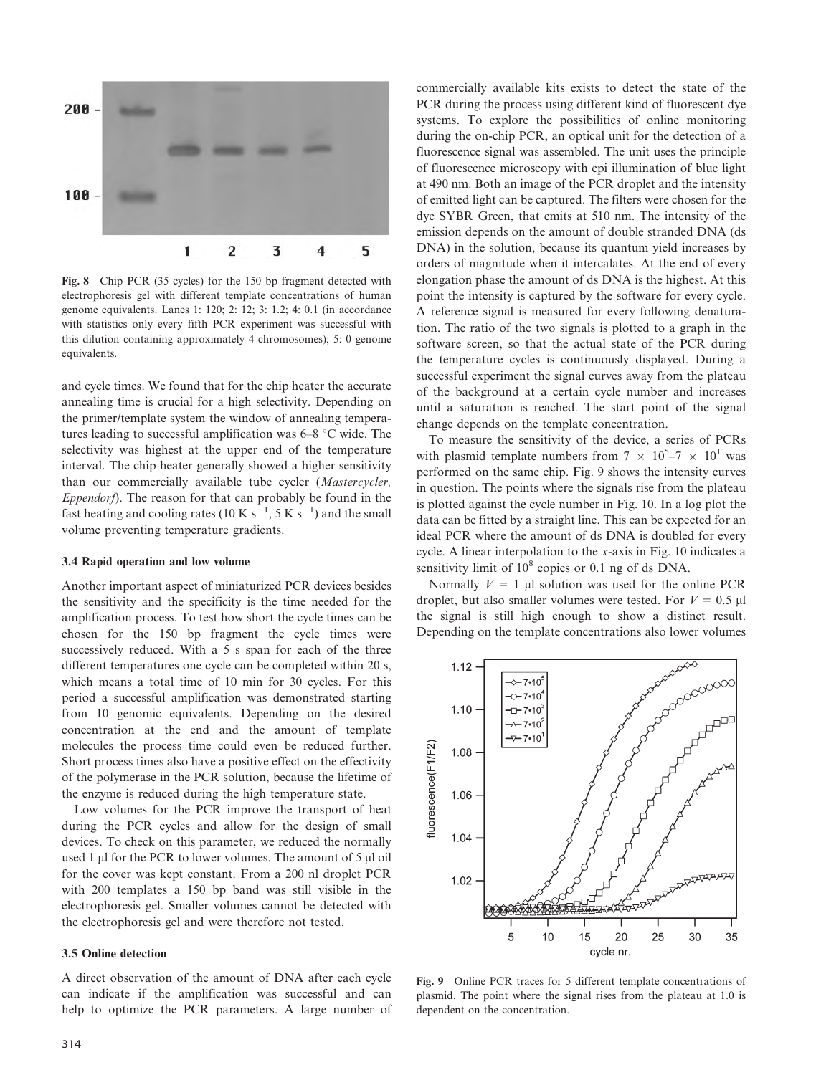

Fig. 8 Chip PCR (35 cycles) for the 150 bp fragment detected with electrophoresis gel with different template concentrations of human genome equivalents. Lanes 1: 120; 2: 12; 3: 1.2; 4: 0.1 (in accordance with statistics only every fifth PCR experiment was successful with this dilution containing approximately 4 chromosomes); 5: 0 genome equivalents.

and cycle times. We found that for the chip heater the accurate annealing time is crucial for a high selectivity. Depending on the primer/template system the window of annealing temperatures leading to successful amplification was  $6-8$  °C wide. The selectivity was highest at the upper end of the temperature interval. The chip heater generally showed a higher sensitivity than our commercially available tube cycler (Mastercycler, Eppendorf). The reason for that can probably be found in the fast heating and cooling rates (10 K s<sup>-1</sup>, 5 K s<sup>-1</sup>) and the small volume preventing temperature gradients.

#### 3.4 Rapid operation and low volume

Another important aspect of miniaturized PCR devices besides the sensitivity and the specificity is the time needed for the amplification process. To test how short the cycle times can be chosen for the 150 bp fragment the cycle times were successively reduced. With a 5 s span for each of the three different temperatures one cycle can be completed within 20 s, which means a total time of 10 min for 30 cycles. For this period a successful amplification was demonstrated starting from 10 genomic equivalents. Depending on the desired concentration at the end and the amount of template molecules the process time could even be reduced further. Short process times also have a positive effect on the effectivity of the polymerase in the PCR solution, because the lifetime of the enzyme is reduced during the high temperature state.

Low volumes for the PCR improve the transport of heat during the PCR cycles and allow for the design of small devices. To check on this parameter, we reduced the normally used 1  $\mu$ l for the PCR to lower volumes. The amount of 5  $\mu$ l oil for the cover was kept constant. From a 200 nl droplet PCR with 200 templates a 150 bp band was still visible in the electrophoresis gel. Smaller volumes cannot be detected with the electrophoresis gel and were therefore not tested.

## 3.5 Online detection

A direct observation of the amount of DNA after each cycle can indicate if the amplification was successful and can help to optimize the PCR parameters. A large number of commercially available kits exists to detect the state of the PCR during the process using different kind of fluorescent dye systems. To explore the possibilities of online monitoring during the on-chip PCR, an optical unit for the detection of a fluorescence signal was assembled. The unit uses the principle of fluorescence microscopy with epi illumination of blue light at 490 nm. Both an image of the PCR droplet and the intensity of emitted light can be captured. The filters were chosen for the dye SYBR Green, that emits at 510 nm. The intensity of the emission depends on the amount of double stranded DNA (ds DNA) in the solution, because its quantum yield increases by orders of magnitude when it intercalates. At the end of every elongation phase the amount of ds DNA is the highest. At this point the intensity is captured by the software for every cycle. A reference signal is measured for every following denaturation. The ratio of the two signals is plotted to a graph in the software screen, so that the actual state of the PCR during the temperature cycles is continuously displayed. During a successful experiment the signal curves away from the plateau of the background at a certain cycle number and increases until a saturation is reached. The start point of the signal change depends on the template concentration.

To measure the sensitivity of the device, a series of PCRs with plasmid template numbers from  $7 \times 10^5 - 7 \times 10^1$  was performed on the same chip. Fig. 9 shows the intensity curves in question. The points where the signals rise from the plateau is plotted against the cycle number in Fig. 10. In a log plot the data can be fitted by a straight line. This can be expected for an ideal PCR where the amount of ds DNA is doubled for every cycle. A linear interpolation to the x-axis in Fig. 10 indicates a sensitivity limit of  $10^8$  copies or 0.1 ng of ds DNA.

Normally  $V = 1$  µl solution was used for the online PCR droplet, but also smaller volumes were tested. For  $V = 0.5 \mu l$ the signal is still high enough to show a distinct result. Depending on the template concentrations also lower volumes



Fig. 9 Online PCR traces for 5 different template concentrations of plasmid. The point where the signal rises from the plateau at 1.0 is dependent on the concentration.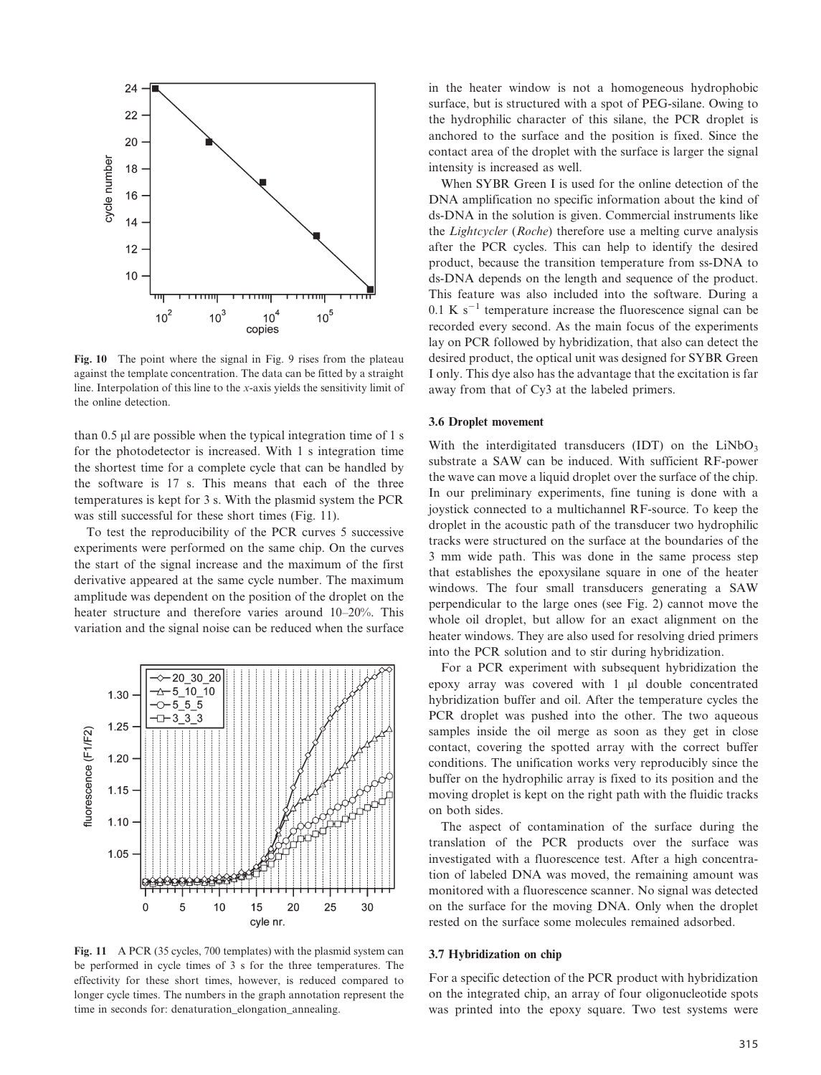

Fig. 10 The point where the signal in Fig. 9 rises from the plateau against the template concentration. The data can be fitted by a straight line. Interpolation of this line to the x-axis yields the sensitivity limit of the online detection.

than  $0.5 \mu$ l are possible when the typical integration time of 1 s for the photodetector is increased. With 1 s integration time the shortest time for a complete cycle that can be handled by the software is 17 s. This means that each of the three temperatures is kept for 3 s. With the plasmid system the PCR was still successful for these short times (Fig. 11).

To test the reproducibility of the PCR curves 5 successive experiments were performed on the same chip. On the curves the start of the signal increase and the maximum of the first derivative appeared at the same cycle number. The maximum amplitude was dependent on the position of the droplet on the heater structure and therefore varies around 10–20%. This variation and the signal noise can be reduced when the surface



Fig. 11 A PCR (35 cycles, 700 templates) with the plasmid system can be performed in cycle times of 3 s for the three temperatures. The effectivity for these short times, however, is reduced compared to longer cycle times. The numbers in the graph annotation represent the time in seconds for: denaturation\_elongation\_annealing.

in the heater window is not a homogeneous hydrophobic surface, but is structured with a spot of PEG-silane. Owing to the hydrophilic character of this silane, the PCR droplet is anchored to the surface and the position is fixed. Since the contact area of the droplet with the surface is larger the signal intensity is increased as well.

When SYBR Green I is used for the online detection of the DNA amplification no specific information about the kind of ds-DNA in the solution is given. Commercial instruments like the Lightcycler (Roche) therefore use a melting curve analysis after the PCR cycles. This can help to identify the desired product, because the transition temperature from ss-DNA to ds-DNA depends on the length and sequence of the product. This feature was also included into the software. During a 0.1 K  $s^{-1}$  temperature increase the fluorescence signal can be recorded every second. As the main focus of the experiments lay on PCR followed by hybridization, that also can detect the desired product, the optical unit was designed for SYBR Green I only. This dye also has the advantage that the excitation is far away from that of Cy3 at the labeled primers.

#### 3.6 Droplet movement

With the interdigitated transducers (IDT) on the  $LiNbO<sub>3</sub>$ substrate a SAW can be induced. With sufficient RF-power the wave can move a liquid droplet over the surface of the chip. In our preliminary experiments, fine tuning is done with a joystick connected to a multichannel RF-source. To keep the droplet in the acoustic path of the transducer two hydrophilic tracks were structured on the surface at the boundaries of the 3 mm wide path. This was done in the same process step that establishes the epoxysilane square in one of the heater windows. The four small transducers generating a SAW perpendicular to the large ones (see Fig. 2) cannot move the whole oil droplet, but allow for an exact alignment on the heater windows. They are also used for resolving dried primers into the PCR solution and to stir during hybridization.

For a PCR experiment with subsequent hybridization the epoxy array was covered with 1 µl double concentrated hybridization buffer and oil. After the temperature cycles the PCR droplet was pushed into the other. The two aqueous samples inside the oil merge as soon as they get in close contact, covering the spotted array with the correct buffer conditions. The unification works very reproducibly since the buffer on the hydrophilic array is fixed to its position and the moving droplet is kept on the right path with the fluidic tracks on both sides.

The aspect of contamination of the surface during the translation of the PCR products over the surface was investigated with a fluorescence test. After a high concentration of labeled DNA was moved, the remaining amount was monitored with a fluorescence scanner. No signal was detected on the surface for the moving DNA. Only when the droplet rested on the surface some molecules remained adsorbed.

#### 3.7 Hybridization on chip

For a specific detection of the PCR product with hybridization on the integrated chip, an array of four oligonucleotide spots was printed into the epoxy square. Two test systems were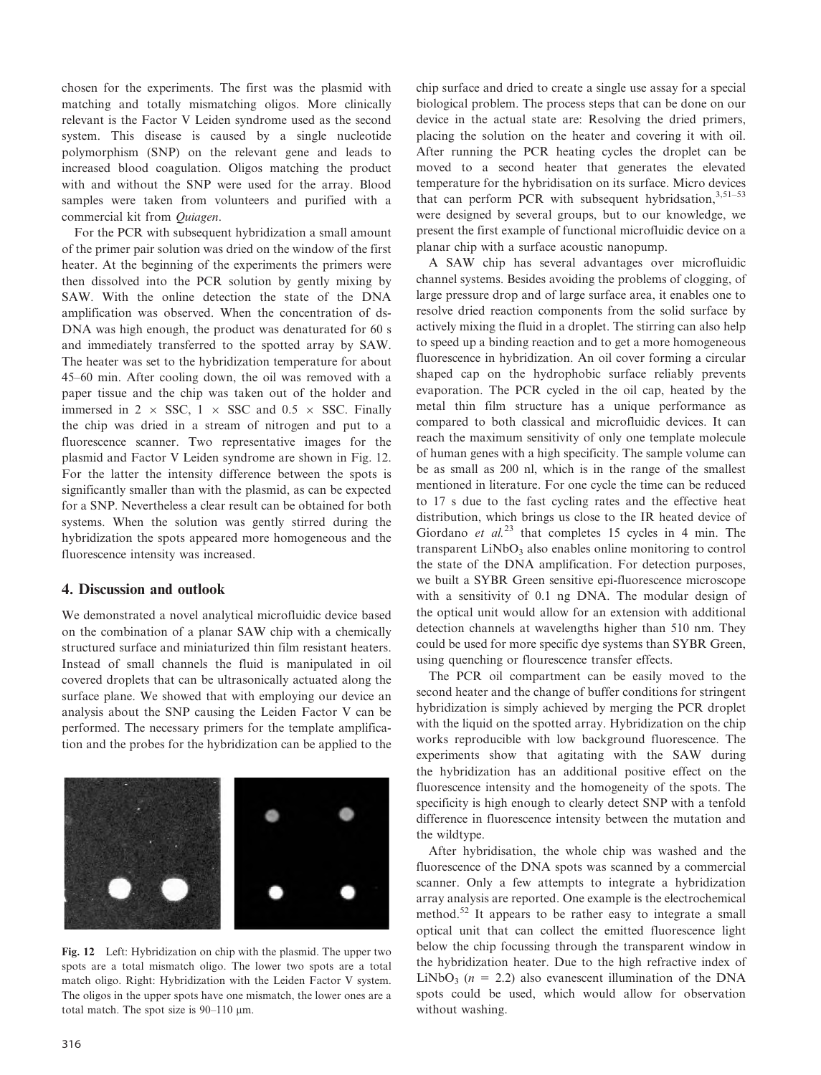chosen for the experiments. The first was the plasmid with matching and totally mismatching oligos. More clinically relevant is the Factor V Leiden syndrome used as the second system. This disease is caused by a single nucleotide polymorphism (SNP) on the relevant gene and leads to increased blood coagulation. Oligos matching the product with and without the SNP were used for the array. Blood samples were taken from volunteers and purified with a commercial kit from Quiagen.

For the PCR with subsequent hybridization a small amount of the primer pair solution was dried on the window of the first heater. At the beginning of the experiments the primers were then dissolved into the PCR solution by gently mixing by SAW. With the online detection the state of the DNA amplification was observed. When the concentration of ds-DNA was high enough, the product was denaturated for 60 s and immediately transferred to the spotted array by SAW. The heater was set to the hybridization temperature for about 45–60 min. After cooling down, the oil was removed with a paper tissue and the chip was taken out of the holder and immersed in 2  $\times$  SSC, 1  $\times$  SSC and 0.5  $\times$  SSC. Finally the chip was dried in a stream of nitrogen and put to a fluorescence scanner. Two representative images for the plasmid and Factor V Leiden syndrome are shown in Fig. 12. For the latter the intensity difference between the spots is significantly smaller than with the plasmid, as can be expected for a SNP. Nevertheless a clear result can be obtained for both systems. When the solution was gently stirred during the hybridization the spots appeared more homogeneous and the fluorescence intensity was increased.

# 4. Discussion and outlook

We demonstrated a novel analytical microfluidic device based on the combination of a planar SAW chip with a chemically structured surface and miniaturized thin film resistant heaters. Instead of small channels the fluid is manipulated in oil covered droplets that can be ultrasonically actuated along the surface plane. We showed that with employing our device an analysis about the SNP causing the Leiden Factor V can be performed. The necessary primers for the template amplification and the probes for the hybridization can be applied to the



Fig. 12 Left: Hybridization on chip with the plasmid. The upper two spots are a total mismatch oligo. The lower two spots are a total match oligo. Right: Hybridization with the Leiden Factor V system. The oligos in the upper spots have one mismatch, the lower ones are a total match. The spot size is  $90-110 \text{ }\mu\text{m}$ .

chip surface and dried to create a single use assay for a special biological problem. The process steps that can be done on our device in the actual state are: Resolving the dried primers, placing the solution on the heater and covering it with oil. After running the PCR heating cycles the droplet can be moved to a second heater that generates the elevated temperature for the hybridisation on its surface. Micro devices that can perform PCR with subsequent hybridsation,<sup>3,51-53</sup> were designed by several groups, but to our knowledge, we present the first example of functional microfluidic device on a planar chip with a surface acoustic nanopump.

A SAW chip has several advantages over microfluidic channel systems. Besides avoiding the problems of clogging, of large pressure drop and of large surface area, it enables one to resolve dried reaction components from the solid surface by actively mixing the fluid in a droplet. The stirring can also help to speed up a binding reaction and to get a more homogeneous fluorescence in hybridization. An oil cover forming a circular shaped cap on the hydrophobic surface reliably prevents evaporation. The PCR cycled in the oil cap, heated by the metal thin film structure has a unique performance as compared to both classical and microfluidic devices. It can reach the maximum sensitivity of only one template molecule of human genes with a high specificity. The sample volume can be as small as 200 nl, which is in the range of the smallest mentioned in literature. For one cycle the time can be reduced to 17 s due to the fast cycling rates and the effective heat distribution, which brings us close to the IR heated device of Giordano et  $al^{23}$  that completes 15 cycles in 4 min. The transparent  $LiNbO<sub>3</sub>$  also enables online monitoring to control the state of the DNA amplification. For detection purposes, we built a SYBR Green sensitive epi-fluorescence microscope with a sensitivity of 0.1 ng DNA. The modular design of the optical unit would allow for an extension with additional detection channels at wavelengths higher than 510 nm. They could be used for more specific dye systems than SYBR Green, using quenching or flourescence transfer effects.

The PCR oil compartment can be easily moved to the second heater and the change of buffer conditions for stringent hybridization is simply achieved by merging the PCR droplet with the liquid on the spotted array. Hybridization on the chip works reproducible with low background fluorescence. The experiments show that agitating with the SAW during the hybridization has an additional positive effect on the fluorescence intensity and the homogeneity of the spots. The specificity is high enough to clearly detect SNP with a tenfold difference in fluorescence intensity between the mutation and the wildtype.

After hybridisation, the whole chip was washed and the fluorescence of the DNA spots was scanned by a commercial scanner. Only a few attempts to integrate a hybridization array analysis are reported. One example is the electrochemical method.<sup>52</sup> It appears to be rather easy to integrate a small optical unit that can collect the emitted fluorescence light below the chip focussing through the transparent window in the hybridization heater. Due to the high refractive index of  $LiNbO<sub>3</sub>$  ( $n = 2.2$ ) also evanescent illumination of the DNA spots could be used, which would allow for observation without washing.